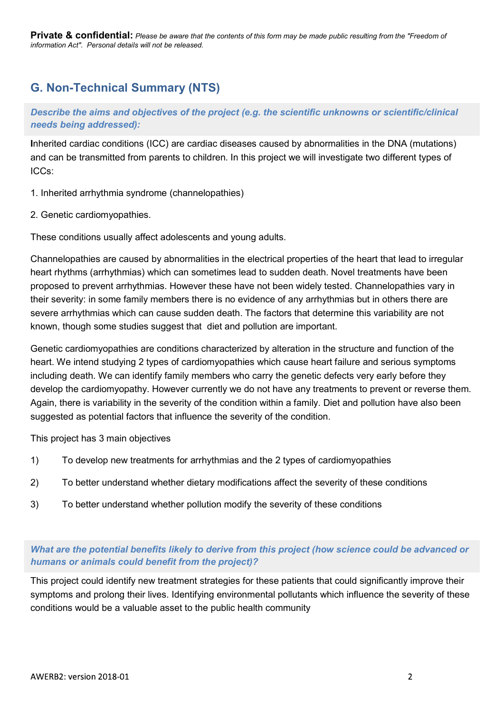Private & confidential: Please be aware that the contents of this form may be made public resulting from the "Freedom of information Act". Personal details will not be released.

# G. Non-Technical Summary (NTS)

Describe the aims and objectives of the project (e.g. the scientific unknowns or scientific/clinical needs being addressed):

Inherited cardiac conditions (ICC) are cardiac diseases caused by abnormalities in the DNA (mutations) and can be transmitted from parents to children. In this project we will investigate two different types of ICCs:

- 1. Inherited arrhythmia syndrome (channelopathies)
- 2. Genetic cardiomyopathies.

These conditions usually affect adolescents and young adults.

Channelopathies are caused by abnormalities in the electrical properties of the heart that lead to irregular heart rhythms (arrhythmias) which can sometimes lead to sudden death. Novel treatments have been proposed to prevent arrhythmias. However these have not been widely tested. Channelopathies vary in their severity: in some family members there is no evidence of any arrhythmias but in others there are severe arrhythmias which can cause sudden death. The factors that determine this variability are not known, though some studies suggest that diet and pollution are important.

Genetic cardiomyopathies are conditions characterized by alteration in the structure and function of the heart. We intend studying 2 types of cardiomyopathies which cause heart failure and serious symptoms including death. We can identify family members who carry the genetic defects very early before they develop the cardiomyopathy. However currently we do not have any treatments to prevent or reverse them. Again, there is variability in the severity of the condition within a family. Diet and pollution have also been suggested as potential factors that influence the severity of the condition. The method material system can be interested to irregular the activation and the security the arrhythmias in the electrical properties of the heart that lead to irregular cheart rhythms (arrhythmias which can sometimes lea on annoveparance are conserved by anoninamized and the severity of these can observe the select the severity in sometimes lead to sudden death. Novel treatments have been proposed to prevent arrhythmias. However these have proposed to prevent arrhythmias. However these have not been widely tested. Channelopathies vary in<br>their severity: in some family members there is no evidence of any arrhythmias but in others there are<br>teverity thin some

This project has 3 main objectives

- 
- 
- 

# What are the potential benefits likely to derive from this project (how science could be advanced or humans or animals could benefit from the project)?

This project could identify new treatment strategies for these patients that could significantly improve their symptoms and prolong their lives. Identifying environmental pollutants which influence the severity of these conditions would be a valuable asset to the public health community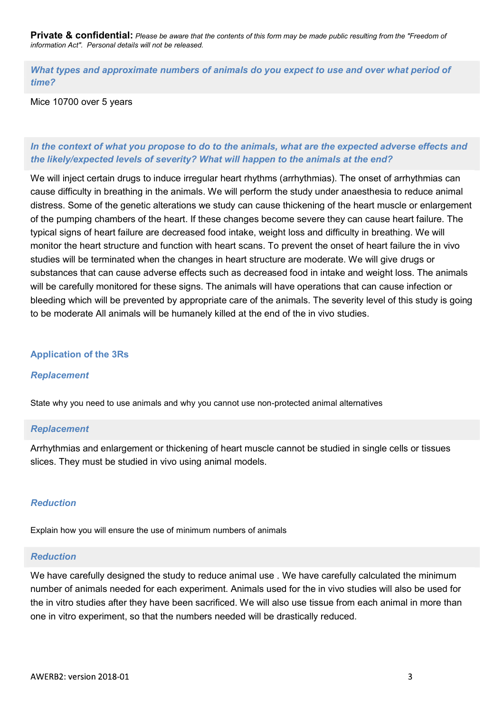Private & confidential: Please be aware that the contents of this form may be made public resulting from the "Freedom of information Act". Personal details will not be released.

**Private & confidential:** Please be aware that the contents of this form may be made public resulting from the "Freedom of<br>information Act". Personal details will not be released.<br>What types and approximate numbers of anim time?

Mice 10700 over 5 years

# In the context of what you propose to do to the animals, what are the expected adverse effects and the likely/expected levels of severity? What will happen to the animals at the end?

We will inject certain drugs to induce irregular heart rhythms (arrhythmias). The onset of arrhythmias can cause difficulty in breathing in the animals. We will perform the study under anaesthesia to reduce animal distress. Some of the genetic alterations we study can cause thickening of the heart muscle or enlargement of the pumping chambers of the heart. If these changes become severe they can cause heart failure. The typical signs of heart failure are decreased food intake, weight loss and difficulty in breathing. We will monitor the heart structure and function with heart scans. To prevent the onset of heart failure the in vivo studies will be terminated when the changes in heart structure are moderate. We will give drugs or substances that can cause adverse effects such as decreased food in intake and weight loss. The animals will be carefully monitored for these signs. The animals will have operations that can cause infection or bleeding which will be prevented by appropriate care of the animals. The severity level of this study is going to be moderate All animals will be humanely killed at the end of the in vivo studies.

### Application of the 3Rs

### Replacement

State why you need to use animals and why you cannot use non-protected animal alternatives

#### Replacement

Arrhythmias and enlargement or thickening of heart muscle cannot be studied in single cells or tissues slices. They must be studied in vivo using animal models.

### Reduction

Explain how you will ensure the use of minimum numbers of animals

### Reduction

We have carefully designed the study to reduce animal use . We have carefully calculated the minimum number of animals needed for each experiment. Animals used for the in vivo studies will also be used for the in vitro studies after they have been sacrificed. We will also use tissue from each animal in more than one in vitro experiment, so that the numbers needed will be drastically reduced.